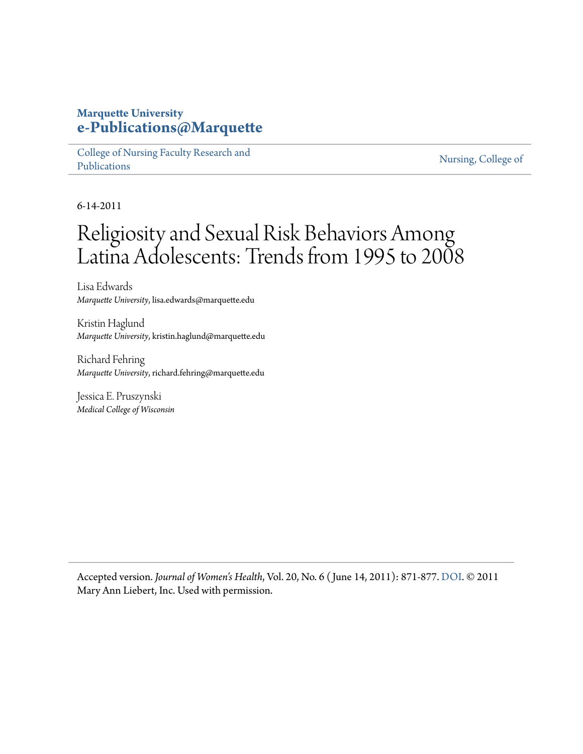#### **Marquette University [e-Publications@Marquette](https://epublications.marquette.edu)**

[College of Nursing Faculty Research and](https://epublications.marquette.edu/nursing_fac) [Publications](https://epublications.marquette.edu/nursing_fac)

[Nursing, College of](https://epublications.marquette.edu/nursing)

6-14-2011

## Religiosity and Sexual Risk Behaviors Among Latina Adolescents: Trends from 1995 to 2008

Lisa Edwards *Marquette University*, lisa.edwards@marquette.edu

Kristin Haglund *Marquette University*, kristin.haglund@marquette.edu

Richard Fehring *Marquette University*, richard.fehring@marquette.edu

Jessica E. Pruszynski *Medical College of Wisconsin*

Accepted version. *Journal of Women's Health*, Vol. 20, No. 6 ( June 14, 2011): 871-877. [DOI](https://doi.org/10.1089/jwh.2010.1949). © 2011 Mary Ann Liebert, Inc. Used with permission.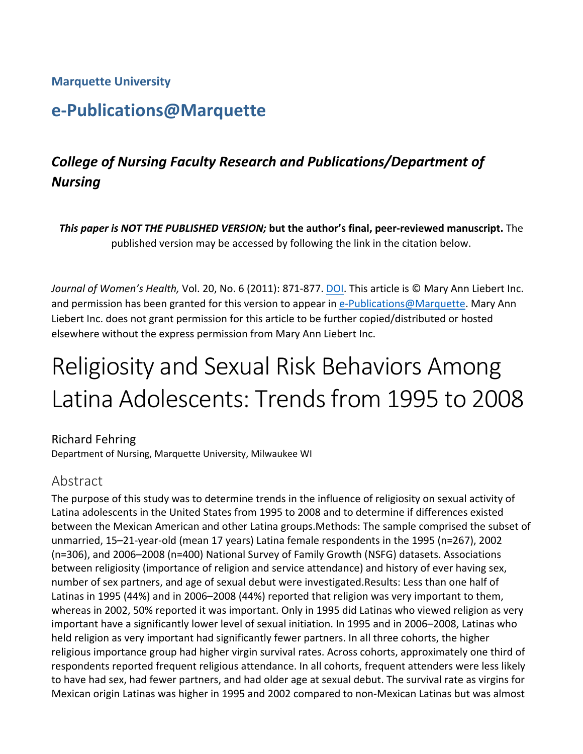#### **Marquette University**

## **e‐Publications@Marquette**

## *College of Nursing Faculty Research and Publications/Department of Nursing*

*This paper is NOT THE PUBLISHED VERSION;* **but the author's final, peer‐reviewed manuscript.** The published version may be accessed by following the link in the citation below.

*Journal of Women's Health,* Vol. 20, No. 6 (2011): 871‐877. DOI. This article is © Mary Ann Liebert Inc. and permission has been granted for this version to appear in e-Publications@Marquette. Mary Ann Liebert Inc. does not grant permission for this article to be further copied/distributed or hosted elsewhere without the express permission from Mary Ann Liebert Inc.

# Religiosity and Sexual Risk Behaviors Among Latina Adolescents: Trends from 1995 to 2008

#### Richard Fehring

Department of Nursing, Marquette University, Milwaukee WI

#### Abstract

The purpose of this study was to determine trends in the influence of religiosity on sexual activity of Latina adolescents in the United States from 1995 to 2008 and to determine if differences existed between the Mexican American and other Latina groups.Methods: The sample comprised the subset of unmarried, 15–21‐year‐old (mean 17 years) Latina female respondents in the 1995 (n=267), 2002 (n=306), and 2006–2008 (n=400) National Survey of Family Growth (NSFG) datasets. Associations between religiosity (importance of religion and service attendance) and history of ever having sex, number of sex partners, and age of sexual debut were investigated.Results: Less than one half of Latinas in 1995 (44%) and in 2006–2008 (44%) reported that religion was very important to them, whereas in 2002, 50% reported it was important. Only in 1995 did Latinas who viewed religion as very important have a significantly lower level of sexual initiation. In 1995 and in 2006–2008, Latinas who held religion as very important had significantly fewer partners. In all three cohorts, the higher religious importance group had higher virgin survival rates. Across cohorts, approximately one third of respondents reported frequent religious attendance. In all cohorts, frequent attenders were less likely to have had sex, had fewer partners, and had older age at sexual debut. The survival rate as virgins for Mexican origin Latinas was higher in 1995 and 2002 compared to non‐Mexican Latinas but was almost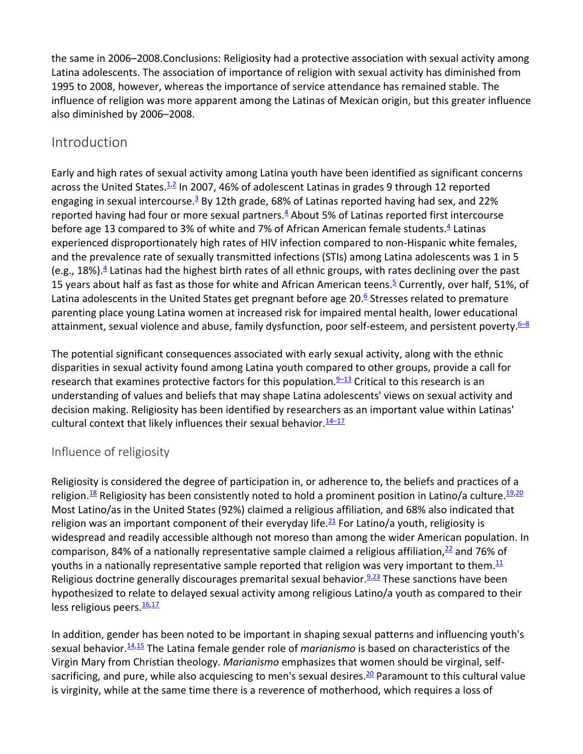the same in 2006–2008.Conclusions: Religiosity had a protective association with sexual activity among Latina adolescents. The association of importance of religion with sexual activity has diminished from 1995 to 2008, however, whereas the importance of service attendance has remained stable. The influence of religion was more apparent among the Latinas of Mexican origin, but this greater influence also diminished by 2006–2008.

#### Introduction

Early and high rates of sexual activity among Latina youth have been identified as significant concerns across the United States. $\frac{1}{2}$  In 2007, 46% of adolescent Latinas in grades 9 through 12 reported engaging in sexual intercourse.<sup>3</sup> By 12th grade, 68% of Latinas reported having had sex, and 22% reported having had four or more sexual partners.<sup>4</sup> About 5% of Latinas reported first intercourse before age 13 compared to 3% of white and 7% of African American female students. $4$  Latinas experienced disproportionately high rates of HIV infection compared to non-Hispanic white females, and the prevalence rate of sexually transmitted infections (STIs) among Latina adolescents was 1 in 5 (e.g., 18%). $\frac{4}{3}$  Latinas had the highest birth rates of all ethnic groups, with rates declining over the past 15 years about half as fast as those for white and African American teens.<sup>5</sup> Currently, over half, 51%, of Latina adolescents in the United States get pregnant before age 20. $6$  Stresses related to premature parenting place young Latina women at increased risk for impaired mental health, lower educational attainment, sexual violence and abuse, family dysfunction, poor self-esteem, and persistent poverty.<sup>6–8</sup>

The potential significant consequences associated with early sexual activity, along with the ethnic disparities in sexual activity found among Latina youth compared to other groups, provide a call for research that examines protective factors for this population. $9-13$  Critical to this research is an understanding of values and beliefs that may shape Latina adolescents' views on sexual activity and decision making. Religiosity has been identified by researchers as an important value within Latinas' cultural context that likely influences their sexual behavior. $14-17$ 

#### Influence of religiosity

Religiosity is considered the degree of participation in, or adherence to, the beliefs and practices of a religion.<sup>18</sup> Religiosity has been consistently noted to hold a prominent position in Latino/a culture.<sup>19,20</sup> Most Latino/as in the United States (92%) claimed a religious affiliation, and 68% also indicated that religion was an important component of their everyday life. $\frac{21}{2}$  For Latino/a youth, religiosity is widespread and readily accessible although not moreso than among the wider American population. In comparison, 84% of a nationally representative sample claimed a religious affiliation, $\frac{2}{3}$  and 76% of youths in a nationally representative sample reported that religion was very important to them.<sup>11</sup> Religious doctrine generally discourages premarital sexual behavior.<sup>9,23</sup> These sanctions have been hypothesized to relate to delayed sexual activity among religious Latino/a youth as compared to their less religious peers. $\frac{16,17}{16}$ 

In addition, gender has been noted to be important in shaping sexual patterns and influencing youth's sexual behavior.14,15 The Latina female gender role of *marianismo* is based on characteristics of the Virgin Mary from Christian theology. *Marianismo* emphasizes that women should be virginal, self‐ sacrificing, and pure, while also acquiescing to men's sexual desires.<sup>20</sup> Paramount to this cultural value is virginity, while at the same time there is a reverence of motherhood, which requires a loss of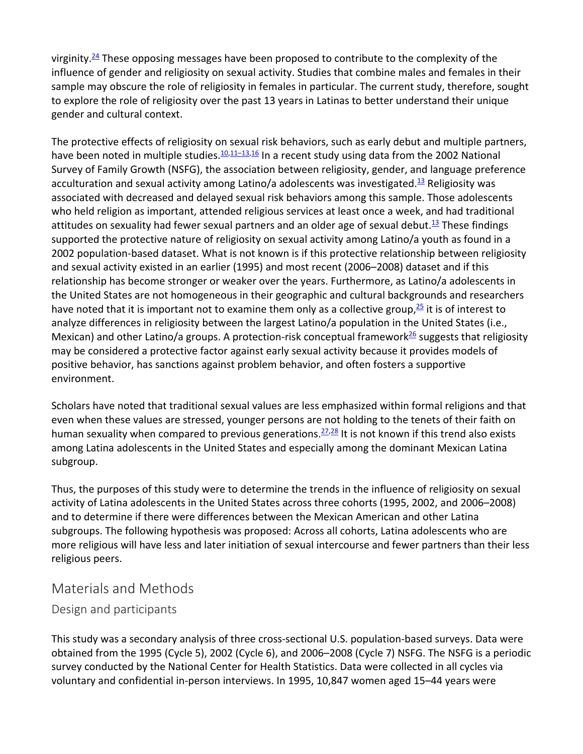virginity.<sup>24</sup> These opposing messages have been proposed to contribute to the complexity of the influence of gender and religiosity on sexual activity. Studies that combine males and females in their sample may obscure the role of religiosity in females in particular. The current study, therefore, sought to explore the role of religiosity over the past 13 years in Latinas to better understand their unique gender and cultural context.

The protective effects of religiosity on sexual risk behaviors, such as early debut and multiple partners, have been noted in multiple studies.<sup>10,11-13,16</sup> In a recent study using data from the 2002 National Survey of Family Growth (NSFG), the association between religiosity, gender, and language preference acculturation and sexual activity among Latino/a adolescents was investigated.<sup>13</sup> Religiosity was associated with decreased and delayed sexual risk behaviors among this sample. Those adolescents who held religion as important, attended religious services at least once a week, and had traditional attitudes on sexuality had fewer sexual partners and an older age of sexual debut.<sup>13</sup> These findings supported the protective nature of religiosity on sexual activity among Latino/a youth as found in a 2002 population‐based dataset. What is not known is if this protective relationship between religiosity and sexual activity existed in an earlier (1995) and most recent (2006–2008) dataset and if this relationship has become stronger or weaker over the years. Furthermore, as Latino/a adolescents in the United States are not homogeneous in their geographic and cultural backgrounds and researchers have noted that it is important not to examine them only as a collective group,  $\frac{25}{2}$  it is of interest to analyze differences in religiosity between the largest Latino/a population in the United States (i.e., Mexican) and other Latino/a groups. A protection-risk conceptual framework<sup>26</sup> suggests that religiosity may be considered a protective factor against early sexual activity because it provides models of positive behavior, has sanctions against problem behavior, and often fosters a supportive environment.

Scholars have noted that traditional sexual values are less emphasized within formal religions and that even when these values are stressed, younger persons are not holding to the tenets of their faith on human sexuality when compared to previous generations.  $27,28$  It is not known if this trend also exists among Latina adolescents in the United States and especially among the dominant Mexican Latina subgroup.

Thus, the purposes of this study were to determine the trends in the influence of religiosity on sexual activity of Latina adolescents in the United States across three cohorts (1995, 2002, and 2006–2008) and to determine if there were differences between the Mexican American and other Latina subgroups. The following hypothesis was proposed: Across all cohorts, Latina adolescents who are more religious will have less and later initiation of sexual intercourse and fewer partners than their less religious peers.

#### Materials and Methods

#### Design and participants

This study was a secondary analysis of three cross‐sectional U.S. population‐based surveys. Data were obtained from the 1995 (Cycle 5), 2002 (Cycle 6), and 2006–2008 (Cycle 7) NSFG. The NSFG is a periodic survey conducted by the National Center for Health Statistics. Data were collected in all cycles via voluntary and confidential in‐person interviews. In 1995, 10,847 women aged 15–44 years were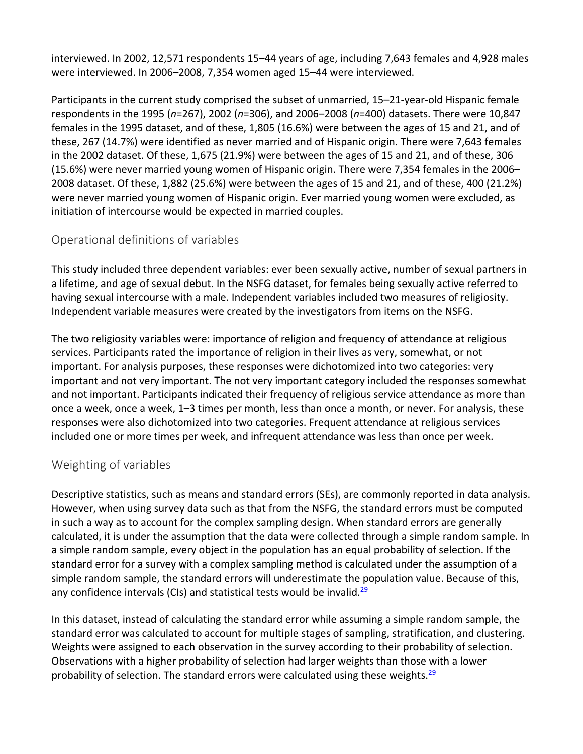interviewed. In 2002, 12,571 respondents 15–44 years of age, including 7,643 females and 4,928 males were interviewed. In 2006–2008, 7,354 women aged 15–44 were interviewed.

Participants in the current study comprised the subset of unmarried, 15–21‐year‐old Hispanic female respondents in the 1995 (*n*=267), 2002 (*n*=306), and 2006–2008 (*n*=400) datasets. There were 10,847 females in the 1995 dataset, and of these, 1,805 (16.6%) were between the ages of 15 and 21, and of these, 267 (14.7%) were identified as never married and of Hispanic origin. There were 7,643 females in the 2002 dataset. Of these, 1,675 (21.9%) were between the ages of 15 and 21, and of these, 306 (15.6%) were never married young women of Hispanic origin. There were 7,354 females in the 2006– 2008 dataset. Of these, 1,882 (25.6%) were between the ages of 15 and 21, and of these, 400 (21.2%) were never married young women of Hispanic origin. Ever married young women were excluded, as initiation of intercourse would be expected in married couples.

#### Operational definitions of variables

This study included three dependent variables: ever been sexually active, number of sexual partners in a lifetime, and age of sexual debut. In the NSFG dataset, for females being sexually active referred to having sexual intercourse with a male. Independent variables included two measures of religiosity. Independent variable measures were created by the investigators from items on the NSFG.

The two religiosity variables were: importance of religion and frequency of attendance at religious services. Participants rated the importance of religion in their lives as very, somewhat, or not important. For analysis purposes, these responses were dichotomized into two categories: very important and not very important. The not very important category included the responses somewhat and not important. Participants indicated their frequency of religious service attendance as more than once a week, once a week, 1–3 times per month, less than once a month, or never. For analysis, these responses were also dichotomized into two categories. Frequent attendance at religious services included one or more times per week, and infrequent attendance was less than once per week.

#### Weighting of variables

Descriptive statistics, such as means and standard errors (SEs), are commonly reported in data analysis. However, when using survey data such as that from the NSFG, the standard errors must be computed in such a way as to account for the complex sampling design. When standard errors are generally calculated, it is under the assumption that the data were collected through a simple random sample. In a simple random sample, every object in the population has an equal probability of selection. If the standard error for a survey with a complex sampling method is calculated under the assumption of a simple random sample, the standard errors will underestimate the population value. Because of this, any confidence intervals (CIs) and statistical tests would be invalid. $29$ 

In this dataset, instead of calculating the standard error while assuming a simple random sample, the standard error was calculated to account for multiple stages of sampling, stratification, and clustering. Weights were assigned to each observation in the survey according to their probability of selection. Observations with a higher probability of selection had larger weights than those with a lower probability of selection. The standard errors were calculated using these weights. $\frac{29}{2}$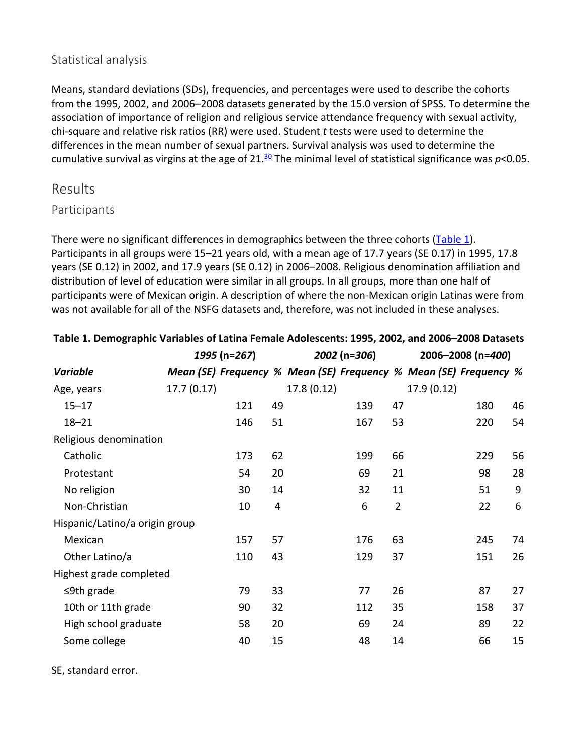#### Statistical analysis

Means, standard deviations (SDs), frequencies, and percentages were used to describe the cohorts from the 1995, 2002, and 2006–2008 datasets generated by the 15.0 version of SPSS. To determine the association of importance of religion and religious service attendance frequency with sexual activity, chi‐square and relative risk ratios (RR) were used. Student *t* tests were used to determine the differences in the mean number of sexual partners. Survival analysis was used to determine the cumulative survival as virgins at the age of  $21.\frac{30}{2}$  The minimal level of statistical significance was  $p<0.05$ .

#### Results

#### Participants

There were no significant differences in demographics between the three cohorts (Table 1). Participants in all groups were 15–21 years old, with a mean age of 17.7 years (SE 0.17) in 1995, 17.8 years (SE 0.12) in 2002, and 17.9 years (SE 0.12) in 2006–2008. Religious denomination affiliation and distribution of level of education were similar in all groups. In all groups, more than one half of participants were of Mexican origin. A description of where the non-Mexican origin Latinas were from was not available for all of the NSFG datasets and, therefore, was not included in these analyses.

|                                | 2002 (n=306)<br>1995 (n=267) |     |    | 2006-2008 (n=400) |     |                |                                                                   |     |    |
|--------------------------------|------------------------------|-----|----|-------------------|-----|----------------|-------------------------------------------------------------------|-----|----|
| <b>Variable</b>                |                              |     |    |                   |     |                | Mean (SE) Frequency % Mean (SE) Frequency % Mean (SE) Frequency % |     |    |
| Age, years                     | 17.7(0.17)                   |     |    | 17.8(0.12)        |     |                | 17.9 (0.12)                                                       |     |    |
| $15 - 17$                      |                              | 121 | 49 |                   | 139 | 47             |                                                                   | 180 | 46 |
| $18 - 21$                      |                              | 146 | 51 |                   | 167 | 53             |                                                                   | 220 | 54 |
| Religious denomination         |                              |     |    |                   |     |                |                                                                   |     |    |
| Catholic                       |                              | 173 | 62 |                   | 199 | 66             |                                                                   | 229 | 56 |
| Protestant                     |                              | 54  | 20 |                   | 69  | 21             |                                                                   | 98  | 28 |
| No religion                    |                              | 30  | 14 |                   | 32  | 11             |                                                                   | 51  | 9  |
| Non-Christian                  |                              | 10  | 4  |                   | 6   | $\overline{2}$ |                                                                   | 22  | 6  |
| Hispanic/Latino/a origin group |                              |     |    |                   |     |                |                                                                   |     |    |
| Mexican                        |                              | 157 | 57 |                   | 176 | 63             |                                                                   | 245 | 74 |
| Other Latino/a                 |                              | 110 | 43 |                   | 129 | 37             |                                                                   | 151 | 26 |
| Highest grade completed        |                              |     |    |                   |     |                |                                                                   |     |    |
| $\leq$ 9th grade               |                              | 79  | 33 |                   | 77  | 26             |                                                                   | 87  | 27 |
| 10th or 11th grade             |                              | 90  | 32 |                   | 112 | 35             |                                                                   | 158 | 37 |
| High school graduate           |                              | 58  | 20 |                   | 69  | 24             |                                                                   | 89  | 22 |
| Some college                   |                              | 40  | 15 |                   | 48  | 14             |                                                                   | 66  | 15 |

#### **Table 1. Demographic Variables of Latina Female Adolescents: 1995, 2002, and 2006–2008 Datasets**

SE, standard error.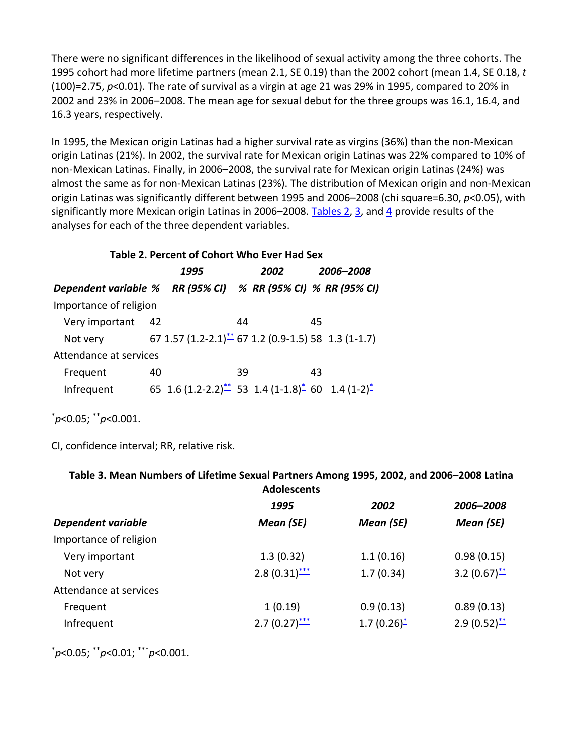There were no significant differences in the likelihood of sexual activity among the three cohorts. The 1995 cohort had more lifetime partners (mean 2.1, SE 0.19) than the 2002 cohort (mean 1.4, SE 0.18, *t* (100)=2.75, *p*<0.01). The rate of survival as a virgin at age 21 was 29% in 1995, compared to 20% in 2002 and 23% in 2006–2008. The mean age for sexual debut for the three groups was 16.1, 16.4, and 16.3 years, respectively.

In 1995, the Mexican origin Latinas had a higher survival rate as virgins (36%) than the non‐Mexican origin Latinas (21%). In 2002, the survival rate for Mexican origin Latinas was 22% compared to 10% of non‐Mexican Latinas. Finally, in 2006–2008, the survival rate for Mexican origin Latinas (24%) was almost the same as for non‐Mexican Latinas (23%). The distribution of Mexican origin and non‐Mexican origin Latinas was significantly different between 1995 and 2006–2008 (chi square=6.30, *p*<0.05), with significantly more Mexican origin Latinas in 2006–2008. Tables 2,  $3$ , and  $4$  provide results of the analyses for each of the three dependent variables.

| Table 2. Percent of Cohort Who Ever Had Sex                  |      |                                                                 |    |      |           |  |  |
|--------------------------------------------------------------|------|-----------------------------------------------------------------|----|------|-----------|--|--|
|                                                              |      | 1995                                                            |    | 2002 | 2006–2008 |  |  |
| Dependent variable % RR (95% CI) % RR (95% CI) % RR (95% CI) |      |                                                                 |    |      |           |  |  |
| Importance of religion                                       |      |                                                                 |    |      |           |  |  |
| Very important                                               | - 42 |                                                                 | 44 |      | 45        |  |  |
| Not very                                                     |      | 67 1.57 $(1.2-2.1)^{**}$ 67 1.2 $(0.9-1.5)$ 58 1.3 $(1-1.7)$    |    |      |           |  |  |
| Attendance at services                                       |      |                                                                 |    |      |           |  |  |
| Frequent                                                     | 40   |                                                                 | 39 |      | 43        |  |  |
| Infrequent                                                   |      | 65 1.6 $(1.2-2.2)^{**}$ 53 1.4 $(1-1.8)^{*}$ 60 1.4 $(1-2)^{*}$ |    |      |           |  |  |

\* *p*<0.05; \*\**p*<0.001.

CI, confidence interval; RR, relative risk.

**Table 3. Mean Numbers of Lifetime Sexual Partners Among 1995, 2002, and 2006–2008 Latina Adolescents**

|                        | 1995              | 2002            | 2006-2008         |
|------------------------|-------------------|-----------------|-------------------|
| Dependent variable     | Mean (SE)         | Mean (SE)       | Mean (SE)         |
| Importance of religion |                   |                 |                   |
| Very important         | 1.3(0.32)         | 1.1(0.16)       | 0.98(0.15)        |
| Not very               | $2.8(0.31)^{***}$ | 1.7(0.34)       | 3.2 $(0.67)^{**}$ |
| Attendance at services |                   |                 |                   |
| Frequent               | 1(0.19)           | 0.9(0.13)       | 0.89(0.13)        |
| Infrequent             | $2.7(0.27)^{***}$ | $1.7(0.26)^{*}$ | $2.9(0.52)^{**}$  |

\* *p*<0.05; \*\**p*<0.01; \*\*\**p*<0.001.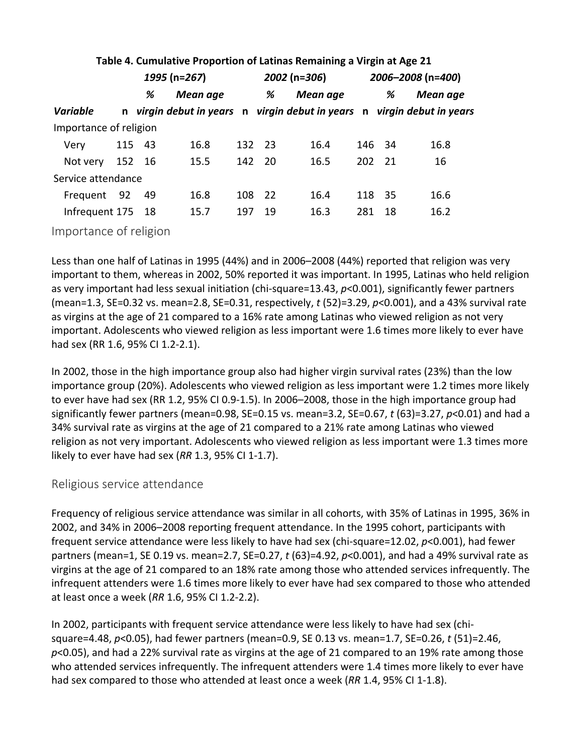|                        | 1995 (n=267) |                                                                         |     |        | 2002 (n=306) | 2006-2008 (n=400) |        |          |  |
|------------------------|--------------|-------------------------------------------------------------------------|-----|--------|--------------|-------------------|--------|----------|--|
|                        | %            | Mean age                                                                |     | %      | Mean age     |                   | %      | Mean age |  |
| <b>Variable</b>        |              | n virgin debut in years n virgin debut in years n virgin debut in years |     |        |              |                   |        |          |  |
| Importance of religion |              |                                                                         |     |        |              |                   |        |          |  |
| Very                   | 115 43       | 16.8                                                                    |     | 132 23 | 16.4         |                   | 146 34 | 16.8     |  |
| Not very               | 152 16       | 15.5                                                                    |     | 142 20 | 16.5         |                   | 202 21 | 16       |  |
| Service attendance     |              |                                                                         |     |        |              |                   |        |          |  |
| Frequent 92            | 49           | 16.8                                                                    |     | 108 22 | 16.4         |                   | 118 35 | 16.6     |  |
| Infrequent 175 18      |              | 15.7                                                                    | 197 | 19     | 16.3         | 281               | -18    | 16.2     |  |
|                        |              |                                                                         |     |        |              |                   |        |          |  |

#### **Table 4. Cumulative Proportion of Latinas Remaining a Virgin at Age 21**

Importance of religion

Less than one half of Latinas in 1995 (44%) and in 2006–2008 (44%) reported that religion was very important to them, whereas in 2002, 50% reported it was important. In 1995, Latinas who held religion as very important had less sexual initiation (chi-square=13.43, *p*<0.001), significantly fewer partners (mean=1.3, SE=0.32 vs. mean=2.8, SE=0.31, respectively, *t* (52)=3.29, *p*<0.001), and a 43% survival rate as virgins at the age of 21 compared to a 16% rate among Latinas who viewed religion as not very important. Adolescents who viewed religion as less important were 1.6 times more likely to ever have had sex (RR 1.6, 95% CI 1.2‐2.1).

In 2002, those in the high importance group also had higher virgin survival rates (23%) than the low importance group (20%). Adolescents who viewed religion as less important were 1.2 times more likely to ever have had sex (RR 1.2, 95% CI 0.9‐1.5). In 2006–2008, those in the high importance group had significantly fewer partners (mean=0.98, SE=0.15 vs. mean=3.2, SE=0.67, *t* (63)=3.27, *p*<0.01) and had a 34% survival rate as virgins at the age of 21 compared to a 21% rate among Latinas who viewed religion as not very important. Adolescents who viewed religion as less important were 1.3 times more likely to ever have had sex (*RR* 1.3, 95% CI 1‐1.7).

#### Religious service attendance

Frequency of religious service attendance was similar in all cohorts, with 35% of Latinas in 1995, 36% in 2002, and 34% in 2006–2008 reporting frequent attendance. In the 1995 cohort, participants with frequent service attendance were less likely to have had sex (chi‐square=12.02, *p*<0.001), had fewer partners (mean=1, SE 0.19 vs. mean=2.7, SE=0.27, *t* (63)=4.92, *p*<0.001), and had a 49% survival rate as virgins at the age of 21 compared to an 18% rate among those who attended services infrequently. The infrequent attenders were 1.6 times more likely to ever have had sex compared to those who attended at least once a week (*RR* 1.6, 95% CI 1.2‐2.2).

In 2002, participants with frequent service attendance were less likely to have had sex (chisquare=4.48, *p*<0.05), had fewer partners (mean=0.9, SE 0.13 vs. mean=1.7, SE=0.26, *t* (51)=2.46, *p*<0.05), and had a 22% survival rate as virgins at the age of 21 compared to an 19% rate among those who attended services infrequently. The infrequent attenders were 1.4 times more likely to ever have had sex compared to those who attended at least once a week (*RR* 1.4, 95% CI 1‐1.8).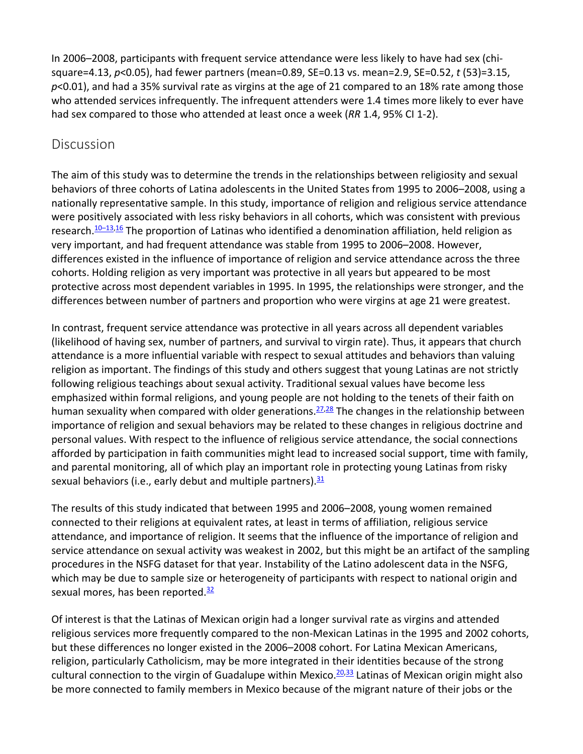In 2006–2008, participants with frequent service attendance were less likely to have had sex (chi‐ square=4.13, *p*<0.05), had fewer partners (mean=0.89, SE=0.13 vs. mean=2.9, SE=0.52, *t* (53)=3.15, *p*<0.01), and had a 35% survival rate as virgins at the age of 21 compared to an 18% rate among those who attended services infrequently. The infrequent attenders were 1.4 times more likely to ever have had sex compared to those who attended at least once a week (*RR* 1.4, 95% CI 1‐2).

#### **Discussion**

The aim of this study was to determine the trends in the relationships between religiosity and sexual behaviors of three cohorts of Latina adolescents in the United States from 1995 to 2006–2008, using a nationally representative sample. In this study, importance of religion and religious service attendance were positively associated with less risky behaviors in all cohorts, which was consistent with previous research.<sup>10–13,16</sup> The proportion of Latinas who identified a denomination affiliation, held religion as very important, and had frequent attendance was stable from 1995 to 2006–2008. However, differences existed in the influence of importance of religion and service attendance across the three cohorts. Holding religion as very important was protective in all years but appeared to be most protective across most dependent variables in 1995. In 1995, the relationships were stronger, and the differences between number of partners and proportion who were virgins at age 21 were greatest.

In contrast, frequent service attendance was protective in all years across all dependent variables (likelihood of having sex, number of partners, and survival to virgin rate). Thus, it appears that church attendance is a more influential variable with respect to sexual attitudes and behaviors than valuing religion as important. The findings of this study and others suggest that young Latinas are not strictly following religious teachings about sexual activity. Traditional sexual values have become less emphasized within formal religions, and young people are not holding to the tenets of their faith on human sexuality when compared with older generations.<sup>27,28</sup> The changes in the relationship between importance of religion and sexual behaviors may be related to these changes in religious doctrine and personal values. With respect to the influence of religious service attendance, the social connections afforded by participation in faith communities might lead to increased social support, time with family, and parental monitoring, all of which play an important role in protecting young Latinas from risky sexual behaviors (i.e., early debut and multiple partners).<sup>31</sup>

The results of this study indicated that between 1995 and 2006–2008, young women remained connected to their religions at equivalent rates, at least in terms of affiliation, religious service attendance, and importance of religion. It seems that the influence of the importance of religion and service attendance on sexual activity was weakest in 2002, but this might be an artifact of the sampling procedures in the NSFG dataset for that year. Instability of the Latino adolescent data in the NSFG, which may be due to sample size or heterogeneity of participants with respect to national origin and sexual mores, has been reported.<sup>32</sup>

Of interest is that the Latinas of Mexican origin had a longer survival rate as virgins and attended religious services more frequently compared to the non‐Mexican Latinas in the 1995 and 2002 cohorts, but these differences no longer existed in the 2006–2008 cohort. For Latina Mexican Americans, religion, particularly Catholicism, may be more integrated in their identities because of the strong cultural connection to the virgin of Guadalupe within Mexico.<sup>20,33</sup> Latinas of Mexican origin might also be more connected to family members in Mexico because of the migrant nature of their jobs or the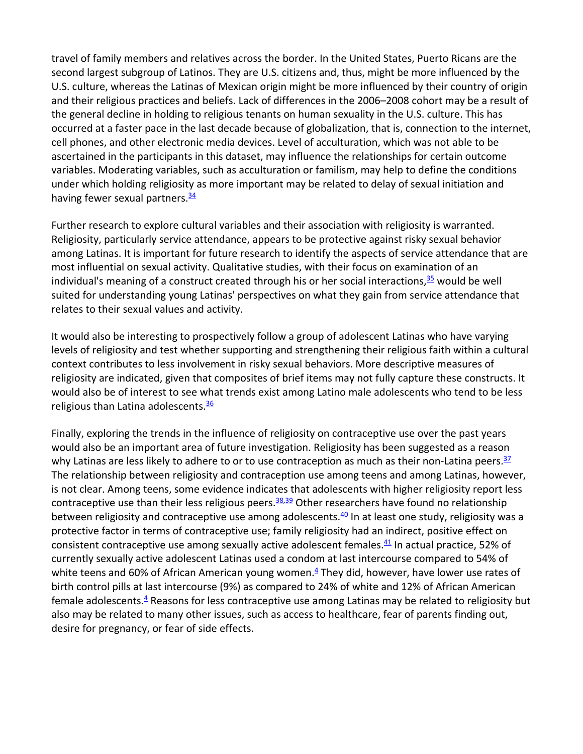travel of family members and relatives across the border. In the United States, Puerto Ricans are the second largest subgroup of Latinos. They are U.S. citizens and, thus, might be more influenced by the U.S. culture, whereas the Latinas of Mexican origin might be more influenced by their country of origin and their religious practices and beliefs. Lack of differences in the 2006–2008 cohort may be a result of the general decline in holding to religious tenants on human sexuality in the U.S. culture. This has occurred at a faster pace in the last decade because of globalization, that is, connection to the internet, cell phones, and other electronic media devices. Level of acculturation, which was not able to be ascertained in the participants in this dataset, may influence the relationships for certain outcome variables. Moderating variables, such as acculturation or familism, may help to define the conditions under which holding religiosity as more important may be related to delay of sexual initiation and having fewer sexual partners.<sup>34</sup>

Further research to explore cultural variables and their association with religiosity is warranted. Religiosity, particularly service attendance, appears to be protective against risky sexual behavior among Latinas. It is important for future research to identify the aspects of service attendance that are most influential on sexual activity. Qualitative studies, with their focus on examination of an individual's meaning of a construct created through his or her social interactions,  $35$  would be well suited for understanding young Latinas' perspectives on what they gain from service attendance that relates to their sexual values and activity.

It would also be interesting to prospectively follow a group of adolescent Latinas who have varying levels of religiosity and test whether supporting and strengthening their religious faith within a cultural context contributes to less involvement in risky sexual behaviors. More descriptive measures of religiosity are indicated, given that composites of brief items may not fully capture these constructs. It would also be of interest to see what trends exist among Latino male adolescents who tend to be less religious than Latina adolescents.<sup>36</sup>

Finally, exploring the trends in the influence of religiosity on contraceptive use over the past years would also be an important area of future investigation. Religiosity has been suggested as a reason why Latinas are less likely to adhere to or to use contraception as much as their non-Latina peers. $\frac{37}{2}$ The relationship between religiosity and contraception use among teens and among Latinas, however, is not clear. Among teens, some evidence indicates that adolescents with higher religiosity report less contraceptive use than their less religious peers.<sup>38,39</sup> Other researchers have found no relationship between religiosity and contraceptive use among adolescents.<sup>40</sup> In at least one study, religiosity was a protective factor in terms of contraceptive use; family religiosity had an indirect, positive effect on consistent contraceptive use among sexually active adolescent females.<sup>41</sup> In actual practice, 52% of currently sexually active adolescent Latinas used a condom at last intercourse compared to 54% of white teens and 60% of African American young women. $4$  They did, however, have lower use rates of birth control pills at last intercourse (9%) as compared to 24% of white and 12% of African American female adolescents. $4$  Reasons for less contraceptive use among Latinas may be related to religiosity but also may be related to many other issues, such as access to healthcare, fear of parents finding out, desire for pregnancy, or fear of side effects.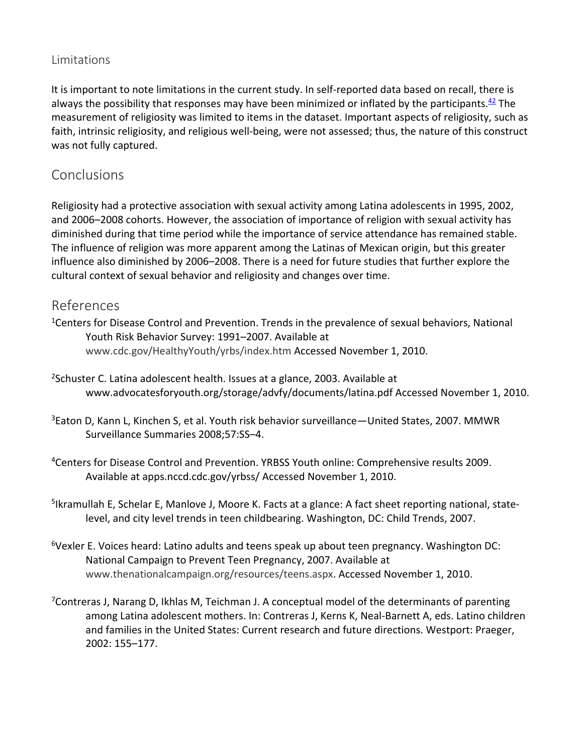#### **Limitations**

It is important to note limitations in the current study. In self-reported data based on recall, there is always the possibility that responses may have been minimized or inflated by the participants. $42$  The measurement of religiosity was limited to items in the dataset. Important aspects of religiosity, such as faith, intrinsic religiosity, and religious well-being, were not assessed; thus, the nature of this construct was not fully captured.

#### Conclusions

Religiosity had a protective association with sexual activity among Latina adolescents in 1995, 2002, and 2006–2008 cohorts. However, the association of importance of religion with sexual activity has diminished during that time period while the importance of service attendance has remained stable. The influence of religion was more apparent among the Latinas of Mexican origin, but this greater influence also diminished by 2006–2008. There is a need for future studies that further explore the cultural context of sexual behavior and religiosity and changes over time.

#### References

- 1Centers for Disease Control and Prevention. Trends in the prevalence of sexual behaviors, National Youth Risk Behavior Survey: 1991–2007. Available at www.cdc.gov/HealthyYouth/yrbs/index.htm Accessed November 1, 2010.
- 2Schuster C. Latina adolescent health. Issues at a glance, 2003. Available at www.advocatesforyouth.org/storage/advfy/documents/latina.pdf Accessed November 1, 2010.
- 3Eaton D, Kann L, Kinchen S, et al. Youth risk behavior surveillance—United States, 2007. MMWR Surveillance Summaries 2008;57:SS–4.
- 4Centers for Disease Control and Prevention. YRBSS Youth online: Comprehensive results 2009. Available at apps.nccd.cdc.gov/yrbss/ Accessed November 1, 2010.
- 5Ikramullah E, Schelar E, Manlove J, Moore K. Facts at a glance: A fact sheet reporting national, state‐ level, and city level trends in teen childbearing. Washington, DC: Child Trends, 2007.
- $6$ Vexler E. Voices heard: Latino adults and teens speak up about teen pregnancy. Washington DC: National Campaign to Prevent Teen Pregnancy, 2007. Available at www.thenationalcampaign.org/resources/teens.aspx. Accessed November 1, 2010.
- $7$ Contreras J, Narang D, Ikhlas M, Teichman J. A conceptual model of the determinants of parenting among Latina adolescent mothers. In: Contreras J, Kerns K, Neal‐Barnett A, eds. Latino children and families in the United States: Current research and future directions. Westport: Praeger, 2002: 155–177.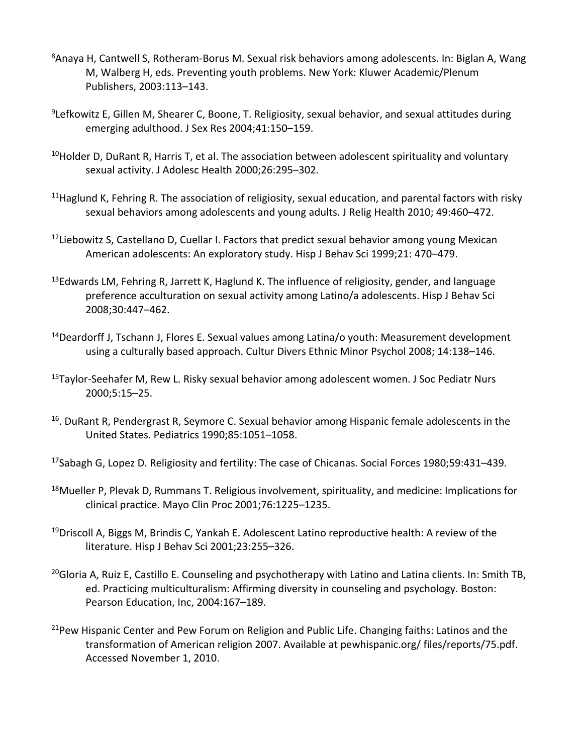- 8 Anaya H, Cantwell S, Rotheram‐Borus M. Sexual risk behaviors among adolescents. In: Biglan A, Wang M, Walberg H, eds. Preventing youth problems. New York: Kluwer Academic/Plenum Publishers, 2003:113–143.
- 9 Lefkowitz E, Gillen M, Shearer C, Boone, T. Religiosity, sexual behavior, and sexual attitudes during emerging adulthood. J Sex Res 2004;41:150–159.
- $10$ Holder D, DuRant R, Harris T, et al. The association between adolescent spirituality and voluntary sexual activity. J Adolesc Health 2000;26:295–302.
- <sup>11</sup>Haglund K, Fehring R. The association of religiosity, sexual education, and parental factors with risky sexual behaviors among adolescents and young adults. J Relig Health 2010; 49:460–472.
- <sup>12</sup>Liebowitz S, Castellano D, Cuellar I. Factors that predict sexual behavior among young Mexican American adolescents: An exploratory study. Hisp J Behav Sci 1999;21: 470–479.
- $13E$ dwards LM, Fehring R, Jarrett K, Haglund K. The influence of religiosity, gender, and language preference acculturation on sexual activity among Latino/a adolescents. Hisp J Behav Sci 2008;30:447–462.
- <sup>14</sup>Deardorff J, Tschann J, Flores E. Sexual values among Latina/o youth: Measurement development using a culturally based approach. Cultur Divers Ethnic Minor Psychol 2008; 14:138–146.
- <sup>15</sup>Taylor-Seehafer M, Rew L. Risky sexual behavior among adolescent women. J Soc Pediatr Nurs 2000;5:15–25.
- <sup>16</sup>. DuRant R, Pendergrast R, Seymore C. Sexual behavior among Hispanic female adolescents in the United States. Pediatrics 1990;85:1051–1058.
- 17Sabagh G, Lopez D. Religiosity and fertility: The case of Chicanas. Social Forces 1980;59:431–439.
- <sup>18</sup>Mueller P, Plevak D, Rummans T. Religious involvement, spirituality, and medicine: Implications for clinical practice. Mayo Clin Proc 2001;76:1225–1235.
- <sup>19</sup>Driscoll A, Biggs M, Brindis C, Yankah E. Adolescent Latino reproductive health: A review of the literature. Hisp J Behav Sci 2001;23:255–326.
- <sup>20</sup>Gloria A, Ruiz E, Castillo E. Counseling and psychotherapy with Latino and Latina clients. In: Smith TB, ed. Practicing multiculturalism: Affirming diversity in counseling and psychology. Boston: Pearson Education, Inc, 2004:167–189.
- <sup>21</sup> Pew Hispanic Center and Pew Forum on Religion and Public Life. Changing faiths: Latinos and the transformation of American religion 2007. Available at pewhispanic.org/ files/reports/75.pdf. Accessed November 1, 2010.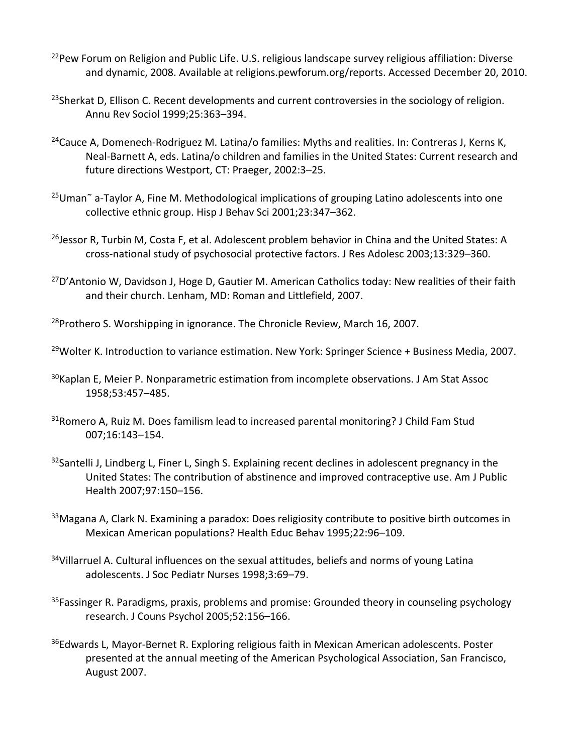- <sup>22</sup>Pew Forum on Religion and Public Life. U.S. religious landscape survey religious affiliation: Diverse and dynamic, 2008. Available at religions.pewforum.org/reports. Accessed December 20, 2010.
- <sup>23</sup>Sherkat D, Ellison C. Recent developments and current controversies in the sociology of religion. Annu Rev Sociol 1999;25:363–394.
- <sup>24</sup>Cauce A, Domenech-Rodriguez M. Latina/o families: Myths and realities. In: Contreras J, Kerns K, Neal‐Barnett A, eds. Latina/o children and families in the United States: Current research and future directions Westport, CT: Praeger, 2002:3–25.
- <sup>25</sup>Uman<sup>~</sup> a-Taylor A, Fine M. Methodological implications of grouping Latino adolescents into one collective ethnic group. Hisp J Behav Sci 2001;23:347–362.
- <sup>26</sup> Jessor R, Turbin M, Costa F, et al. Adolescent problem behavior in China and the United States: A cross‐national study of psychosocial protective factors. J Res Adolesc 2003;13:329–360.
- <sup>27</sup>D'Antonio W, Davidson J, Hoge D, Gautier M. American Catholics today: New realities of their faith and their church. Lenham, MD: Roman and Littlefield, 2007.
- <sup>28</sup>Prothero S. Worshipping in ignorance. The Chronicle Review, March 16, 2007.
- <sup>29</sup>Wolter K. Introduction to variance estimation. New York: Springer Science + Business Media, 2007.
- <sup>30</sup>Kaplan E, Meier P. Nonparametric estimation from incomplete observations. J Am Stat Assoc 1958;53:457–485.
- $31$ Romero A, Ruiz M. Does familism lead to increased parental monitoring? J Child Fam Stud 007;16:143–154.
- $32$ Santelli J, Lindberg L, Finer L, Singh S. Explaining recent declines in adolescent pregnancy in the United States: The contribution of abstinence and improved contraceptive use. Am J Public Health 2007;97:150–156.
- $33$ Magana A, Clark N. Examining a paradox: Does religiosity contribute to positive birth outcomes in Mexican American populations? Health Educ Behav 1995;22:96–109.
- <sup>34</sup>Villarruel A. Cultural influences on the sexual attitudes, beliefs and norms of young Latina adolescents. J Soc Pediatr Nurses 1998;3:69–79.
- <sup>35</sup>Fassinger R. Paradigms, praxis, problems and promise: Grounded theory in counseling psychology research. J Couns Psychol 2005;52:156–166.
- <sup>36</sup>Edwards L, Mayor-Bernet R. Exploring religious faith in Mexican American adolescents. Poster presented at the annual meeting of the American Psychological Association, San Francisco, August 2007.